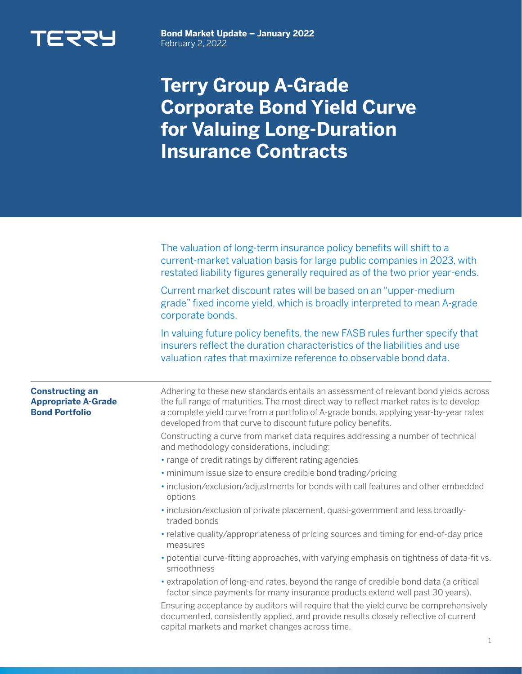

**Bond Market Update – January 2022**  February 2, 2022

## **Terry Group A-Grade Corporate Bond Yield Curve for Valuing Long-Duration Insurance Contracts**

|                                                                               | The valuation of long-term insurance policy benefits will shift to a<br>current-market valuation basis for large public companies in 2023, with<br>restated liability figures generally required as of the two prior year-ends.                                                                                                           |
|-------------------------------------------------------------------------------|-------------------------------------------------------------------------------------------------------------------------------------------------------------------------------------------------------------------------------------------------------------------------------------------------------------------------------------------|
|                                                                               | Current market discount rates will be based on an "upper-medium<br>grade" fixed income yield, which is broadly interpreted to mean A-grade<br>corporate bonds.                                                                                                                                                                            |
|                                                                               | In valuing future policy benefits, the new FASB rules further specify that<br>insurers reflect the duration characteristics of the liabilities and use<br>valuation rates that maximize reference to observable bond data.                                                                                                                |
| <b>Constructing an</b><br><b>Appropriate A-Grade</b><br><b>Bond Portfolio</b> | Adhering to these new standards entails an assessment of relevant bond yields across<br>the full range of maturities. The most direct way to reflect market rates is to develop<br>a complete yield curve from a portfolio of A-grade bonds, applying year-by-year rates<br>developed from that curve to discount future policy benefits. |
|                                                                               | Constructing a curve from market data requires addressing a number of technical<br>and methodology considerations, including:                                                                                                                                                                                                             |
|                                                                               | • range of credit ratings by different rating agencies                                                                                                                                                                                                                                                                                    |
|                                                                               | · minimum issue size to ensure credible bond trading/pricing                                                                                                                                                                                                                                                                              |
|                                                                               | · inclusion/exclusion/adjustments for bonds with call features and other embedded<br>options                                                                                                                                                                                                                                              |
|                                                                               | . inclusion/exclusion of private placement, quasi-government and less broadly-<br>traded bonds                                                                                                                                                                                                                                            |
|                                                                               | • relative quality/appropriateness of pricing sources and timing for end-of-day price<br>measures                                                                                                                                                                                                                                         |
|                                                                               | • potential curve-fitting approaches, with varying emphasis on tightness of data-fit vs.<br>smoothness                                                                                                                                                                                                                                    |
|                                                                               | • extrapolation of long-end rates, beyond the range of credible bond data (a critical<br>factor since payments for many insurance products extend well past 30 years).                                                                                                                                                                    |
|                                                                               | Ensuring acceptance by auditors will require that the yield curve be comprehensively<br>documented, consistently applied, and provide results closely reflective of current                                                                                                                                                               |

capital markets and market changes across time.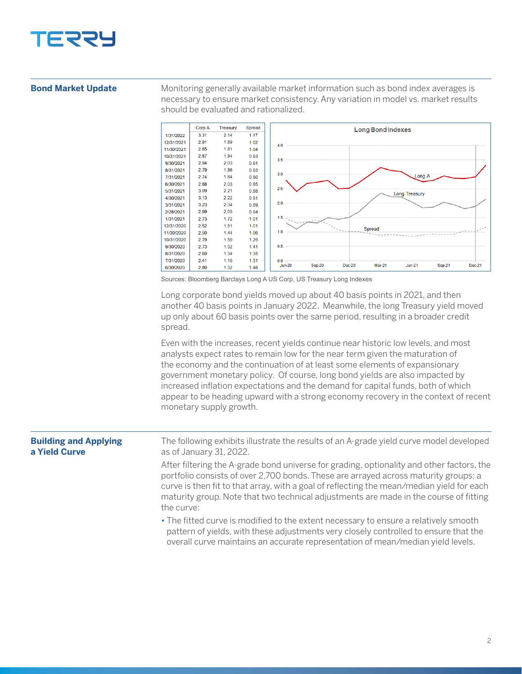

## **Bond Market Update**

Monitoring generally available market information such as bond index averages is necessary to ensure market consistency. Any variation in model vs. market results should be evaluated and rationalized.



Sources: Bloomberg Barclays Long A US Corp, US Treasury Long Indexes

Long corporate bond yields moved up about 40 basis points in 2021, and then another 40 basis points in January 2022. Meanwhile, the long Treasury yield moved up only about 60 basis points over the same period, resulting in a broader credit spread.

Even with the increases, recent yields continue near historic low levels, and most analysts expect rates to remain low for the near term given the maturation of the economy and the continuation of at least some elements of expansionary government monetary policy. Of course, long bond yields are also impacted by increased inflation expectations and the demand for capital funds, both of which appear to be heading upward with a strong economy recovery in the context of recent monetary supply growth.

| <b>Building and Applying</b><br>a Yield Curve | The following exhibits illustrate the results of an A-grade yield curve model developed<br>as of January 31, 2022.                                                                                                                                                                                                                                                                   |
|-----------------------------------------------|--------------------------------------------------------------------------------------------------------------------------------------------------------------------------------------------------------------------------------------------------------------------------------------------------------------------------------------------------------------------------------------|
|                                               | After filtering the A-grade bond universe for grading, optionality and other factors, the<br>portfolio consists of over 2,700 bonds. These are arrayed across maturity groups; a<br>curve is then fit to that array, with a goal of reflecting the mean/median yield for each<br>maturity group. Note that two technical adjustments are made in the course of fitting<br>the curve: |
|                                               | • The fitted curve is modified to the extent necessary to ensure a relatively smooth<br>pattern of yields, with these adjustments very closely controlled to ensure that the<br>overall curve maintains an accurate representation of mean/median yield levels.                                                                                                                      |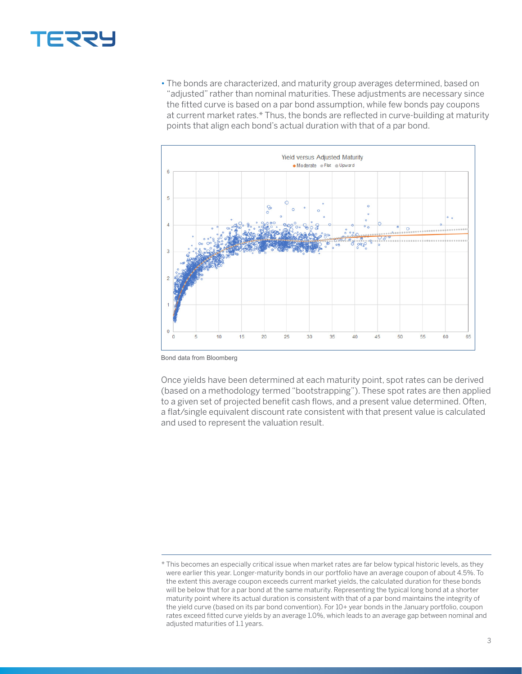

• The bonds are characterized, and maturity group averages determined, based on "adjusted" rather than nominal maturities. These adjustments are necessary since the fitted curve is based on a par bond assumption, while few bonds pay coupons at current market rates.\* Thus, the bonds are reflected in curve-building at maturity points that align each bond's actual duration with that of a par bond.



Bond data from Bloomberg

Once yields have been determined at each maturity point, spot rates can be derived (based on a methodology termed "bootstrapping"). These spot rates are then applied to a given set of projected benefit cash flows, and a present value determined. Often, a flat/single equivalent discount rate consistent with that present value is calculated and used to represent the valuation result.

<sup>\*</sup> This becomes an especially critical issue when market rates are far below typical historic levels, as they were earlier this year. Longer-maturity bonds in our portfolio have an average coupon of about 4.5%. To the extent this average coupon exceeds current market yields, the calculated duration for these bonds will be below that for a par bond at the same maturity. Representing the typical long bond at a shorter maturity point where its actual duration is consistent with that of a par bond maintains the integrity of the yield curve (based on its par bond convention). For 10+ year bonds in the January portfolio, coupon rates exceed fitted curve yields by an average 1.0%, which leads to an average gap between nominal and adjusted maturities of 1.1 years.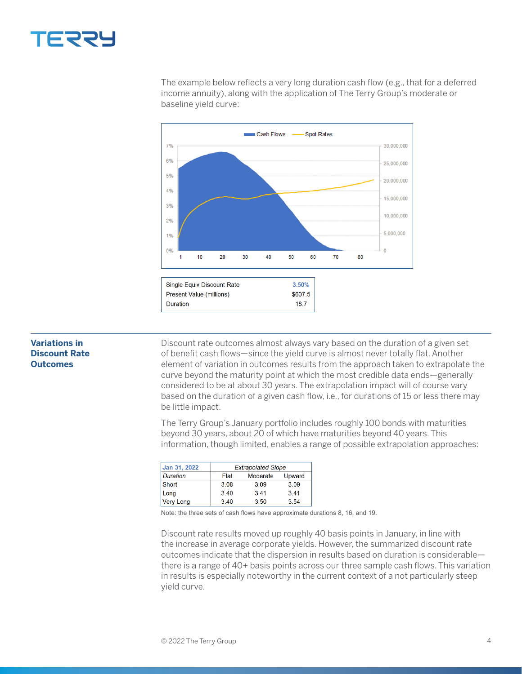

The example below reflects a very long duration cash flow (e.g., that for a deferred income annuity), along with the application of The Terry Group's moderate or baseline yield curve:



## **Variations in Discount Rate Outcomes**

Discount rate outcomes almost always vary based on the duration of a given set of benefit cash flows—since the yield curve is almost never totally flat. Another element of variation in outcomes results from the approach taken to extrapolate the curve beyond the maturity point at which the most credible data ends—generally considered to be at about 30 years. The extrapolation impact will of course vary based on the duration of a given cash flow, i.e., for durations of 15 or less there may be little impact.

The Terry Group's January portfolio includes roughly 100 bonds with maturities beyond 30 years, about 20 of which have maturities beyond 40 years. This information, though limited, enables a range of possible extrapolation approaches:

| Jan 31, 2022    | <b>Extrapolated Slope</b> |          |        |  |
|-----------------|---------------------------|----------|--------|--|
| <b>Duration</b> | Flat                      | Moderate | Upward |  |
| Short           | 3.08                      | 3.09     | 3.09   |  |
| Long            | 340                       | 341      | 3.41   |  |
| Very Long       | 340                       | 3.50     | 3.54   |  |

Note: the three sets of cash flows have approximate durations 8, 16, and 19.

Discount rate results moved up roughly 40 basis points in January, in line with the increase in average corporate yields. However, the summarized discount rate outcomes indicate that the dispersion in results based on duration is considerable there is a range of 40+ basis points across our three sample cash flows. This variation in results is especially noteworthy in the current context of a not particularly steep yield curve.